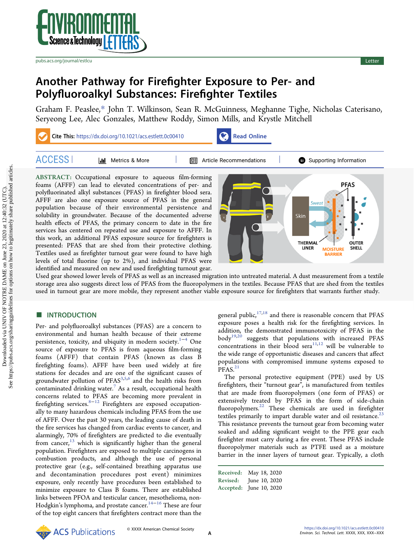

[pubs.acs.org/journal/estlcu](pubs.acs.org/journal/estlcu?ref=pdf) Letter and the control of the control of the control of the control of the control of the control of the control of the control of the control of the control of the control of the control of the

# Another Pathway for Firefighter Exposure to Per- and Polyfluoroalkyl Substances: Firefighter Textiles

[Graham F. Peaslee,](https://pubs.acs.org/action/doSearch?field1=Contrib&text1="Graham+F.+Peaslee"&field2=AllField&text2=&publication=&accessType=allContent&Earliest=&ref=pdf)[\\*](#page-3-0) [John T. Wilkinson,](https://pubs.acs.org/action/doSearch?field1=Contrib&text1="John+T.+Wilkinson"&field2=AllField&text2=&publication=&accessType=allContent&Earliest=&ref=pdf) [Sean R. McGuinness,](https://pubs.acs.org/action/doSearch?field1=Contrib&text1="Sean+R.+McGuinness"&field2=AllField&text2=&publication=&accessType=allContent&Earliest=&ref=pdf) [Meghanne Tighe,](https://pubs.acs.org/action/doSearch?field1=Contrib&text1="Meghanne+Tighe"&field2=AllField&text2=&publication=&accessType=allContent&Earliest=&ref=pdf) [Nicholas Caterisano,](https://pubs.acs.org/action/doSearch?field1=Contrib&text1="Nicholas+Caterisano"&field2=AllField&text2=&publication=&accessType=allContent&Earliest=&ref=pdf) [Seryeong Lee,](https://pubs.acs.org/action/doSearch?field1=Contrib&text1="Seryeong+Lee"&field2=AllField&text2=&publication=&accessType=allContent&Earliest=&ref=pdf) [Alec Gonzales,](https://pubs.acs.org/action/doSearch?field1=Contrib&text1="Alec+Gonzales"&field2=AllField&text2=&publication=&accessType=allContent&Earliest=&ref=pdf) [Matthew Roddy,](https://pubs.acs.org/action/doSearch?field1=Contrib&text1="Matthew+Roddy"&field2=AllField&text2=&publication=&accessType=allContent&Earliest=&ref=pdf) [Simon Mills,](https://pubs.acs.org/action/doSearch?field1=Contrib&text1="Simon+Mills"&field2=AllField&text2=&publication=&accessType=allContent&Earliest=&ref=pdf) [and Krystle Mitchell](https://pubs.acs.org/action/doSearch?field1=Contrib&text1="Krystle+Mitchell"&field2=AllField&text2=&publication=&accessType=allContent&Earliest=&ref=pdf)

Cite This: [https://dx.doi.org/10.1021/acs.estlett.0c00410](https://pubs.acs.org/action/showCitFormats?doi=10.1021/acs.estlett.0c00410&ref=pdf) [Read Online](https://pubs.acs.org/doi/10.1021/acs.estlett.0c00410?ref=pdf) ACCESS | | || [Metrics & More](https://pubs.acs.org/doi/10.1021/acs.estlett.0c00410?goto=articleMetrics&ref=pdf) | | || || || || [Article Recommendations](https://pubs.acs.org/doi/10.1021/acs.estlett.0c00410?goto=recommendations&?ref=pdf) | | | | | || [Supporting Information](https://pubs.acs.org/doi/10.1021/acs.estlett.0c00410?goto=supporting-info&ref=pdf) ABSTRACT: Occupational exposure to aqueous film-forming **PFAS** foams (AFFF) can lead to elevated concentrations of per- and polyfluorinated alkyl substances (PFAS) in firefighter blood sera. AFFF are also one exposure source of PFAS in the general population because of their environmental persistence and solubility in groundwater. Because of the documented adverse Skin

health effects of PFAS, the primary concern to date in the fire services has centered on repeated use and exposure to AFFF. In this work, an additional PFAS exposure source for firefighters is presented: PFAS that are shed from their protective clothing. Textiles used as firefighter turnout gear were found to have high levels of total fluorine (up to 2%), and individual PFAS were identified and measured on new and used firefighting turnout gear.



Used gear showed lower levels of PFAS as well as an increased migration into untreated material. A dust measurement from a textile storage area also suggests direct loss of PFAS from the fluoropolymers in the textiles. Because PFAS that are shed from the textiles used in turnout gear are more mobile, they represent another viable exposure source for firefighters that warrants further study.

## **■ INTRODUCTION**

Per- and polyfluoroalkyl substances (PFAS) are a concern to environmental and human health because of their extreme persistence, toxicity, and ubiquity in modern society.<sup>[1](#page-3-0)−[4](#page-4-0)</sup> One source of exposure to PFAS is from aqueous film-forming foams (AFFF) that contain PFAS (known as class B firefighting foams). AFFF have been used widely at fire stations for decades and are one of the significant causes of groundwater pollution of  $PFAS<sup>3,5,6</sup>$  $PFAS<sup>3,5,6</sup>$  $PFAS<sup>3,5,6</sup>$  $PFAS<sup>3,5,6</sup>$  $PFAS<sup>3,5,6</sup>$  $PFAS<sup>3,5,6</sup>$  $PFAS<sup>3,5,6</sup>$  and the health risks from contaminated drinking water. $^7$  $^7$  As a result, occupational health concerns related to PFAS are becoming more prevalent in firefighting services.<sup>8−[12](#page-4-0)</sup> Firefighters are exposed occupationally to many hazardous chemicals including PFAS from the use of AFFF. Over the past 30 years, the leading cause of death in the fire services has changed from cardiac events to cancer, and alarmingly, 70% of firefighters are predicted to die eventually from cancer, $13$  which is significantly higher than the general population. Firefighters are exposed to multiple carcinogens in combustion products, and although the use of personal protective gear (e.g., self-contained breathing apparatus use and decontamination procedures post event) minimizes exposure, only recently have procedures been established to minimize exposure to Class B foams. There are established links between PFOA and testicular cancer, mesothelioma, non-Hodgkin's lymphoma, and prostate cancer.<sup>[14](#page-4-0)-[16](#page-4-0)</sup> These are four of the top eight cancers that firefighters contract more than the

general public, $17,18$  and there is reasonable concern that PFAS exposure poses a health risk for the firefighting services. In addition, the demonstrated immunotoxicity of PFAS in the body<sup>[19,20](#page-4-0)</sup> suggests that populations with increased PFAS concentrations in their blood  $\text{sera}^{11,12}$  $\text{sera}^{11,12}$  $\text{sera}^{11,12}$  $\text{sera}^{11,12}$  $\text{sera}^{11,12}$  will be vulnerable to the wide range of opportunistic diseases and cancers that affect populations with compromised immune systems exposed to  $PFAS.<sup>21</sup>$  $PFAS.<sup>21</sup>$  $PFAS.<sup>21</sup>$ 

The personal protective equipment (PPE) used by US firefighters, their "turnout gear", is manufactured from textiles that are made from fluoropolymers (one form of PFAS) or extensively treated by PFAS in the form of side-chain fluoropolymers.<sup>22</sup> These chemicals are used in firefighter textiles primarily to impart durable water and oil resistance.<sup>23</sup> This resistance prevents the turnout gear from becoming water soaked and adding significant weight to the PPE gear each firefighter must carry during a fire event. These PFAS include fluoropolymer materials such as PTFE used as a moisture barrier in the inner layers of turnout gear. Typically, a cloth

| Received:       | May 18, 2020            |
|-----------------|-------------------------|
| <b>Revised:</b> | June 10, 2020           |
|                 | Accepted: June 10, 2020 |

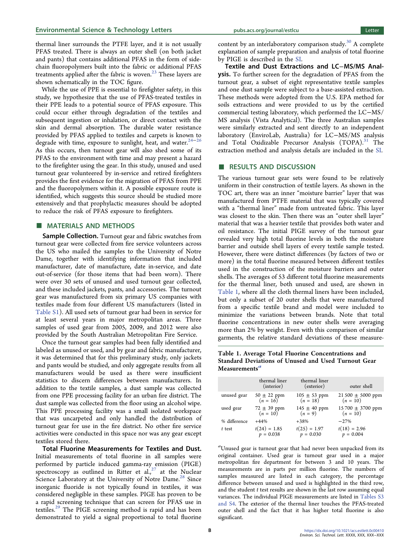<span id="page-1-0"></span>thermal liner surrounds the PTFE layer, and it is not usually PFAS treated. There is always an outer shell (on both jacket and pants) that contains additional PFAS in the form of sidechain fluoropolymers built into the fabric or additional PFAS treatments applied after the fabric is woven. $^{23}$  $^{23}$  $^{23}$  These layers are shown schematically in the TOC figure.

While the use of PPE is essential to firefighter safety, in this study, we hypothesize that the use of PFAS-treated textiles in their PPE leads to a potential source of PFAS exposure. This could occur either through degradation of the textiles and subsequent ingestion or inhalation, or direct contact with the skin and dermal absorption. The durable water resistance provided by PFAS applied to textiles and carpets is known to degrade with time, exposure to sunlight, heat, and water.<sup>24-[26](#page-4-0)</sup> As this occurs, then turnout gear will also shed some of its PFAS to the environment with time and may present a hazard to the firefighter using the gear. In this study, unused and used turnout gear volunteered by in-service and retired firefighters provides the first evidence for the migration of PFAS from PPE and the fluoropolymers within it. A possible exposure route is identified, which suggests this source should be studied more extensively and that prophylactic measures should be adopted to reduce the risk of PFAS exposure to firefighters.

### ■ MATERIALS AND METHODS

Sample Collection. Turnout gear and fabric swatches from turnout gear were collected from fire service volunteers across the US who mailed the samples to the University of Notre Dame, together with identifying information that included manufacturer, date of manufacture, date in-service, and date out-of-service (for those items that had been worn). There were over 30 sets of unused and used turnout gear collected, and these included jackets, pants, and accessories. The turnout gear was manufactured from six primary US companies with textiles made from four different US manufacturers (listed in [Table S1\)](http://pubs.acs.org/doi/suppl/10.1021/acs.estlett.0c00410/suppl_file/ez0c00410_si_001.pdf). All used sets of turnout gear had been in service for at least several years in major metropolitan areas. Three samples of used gear from 2005, 2009, and 2012 were also provided by the South Australian Metropolitan Fire Service.

Once the turnout gear samples had been fully identified and labeled as unused or used, and by gear and fabric manufacturer, it was determined that for this preliminary study, only jackets and pants would be studied, and only aggregate results from all manufacturers would be used as there were insufficient statistics to discern differences between manufacturers. In addition to the textile samples, a dust sample was collected from one PPE processing facility for an urban fire district. The dust sample was collected from the floor using an alcohol wipe. This PPE processing facility was a small isolated workspace that was uncarpeted and only handled the distribution of turnout gear for use in the fire district. No other fire service activities were conducted in this space nor was any gear except textiles stored there.

Total Fluorine Measurements for Textiles and Dust. Initial measurements of total fluorine in all samples were performed by particle induced gamma-ray emission (PIGE) spectroscopy as outlined in Ritter et al., <sup>[27](#page-4-0)</sup> at the Nuclear Science Laboratory at the University of Notre Dame.<sup>28</sup> Since inorganic fluoride is not typically found in textiles, it was considered negligible in these samples. PIGE has proven to be a rapid screening technique that can screen for PFAS use in textiles.<sup>[29](#page-4-0)</sup> The PIGE screening method is rapid and has been demonstrated to yield a signal proportional to total fluorine

content by an interlaboratory comparison study.<sup>[30](#page-4-0)</sup> A complete explanation of sample preparation and analysis of total fluorine by PIGE is described in the [SI.](http://pubs.acs.org/doi/suppl/10.1021/acs.estlett.0c00410/suppl_file/ez0c00410_si_001.pdf)

Textile and Dust Extractions and LC−MS/MS Analysis. To further screen for the degradation of PFAS from the turnout gear, a subset of eight representative textile samples and one dust sample were subject to a base-assisted extraction. These methods were adopted from the U.S. EPA method for soils extractions and were provided to us by the certified commercial testing laboratory, which performed the LC−MS/ MS analysis (Vista Analytical). The three Australian samples were similarly extracted and sent directly to an independent laboratory (EnviroLab, Australia) for LC−MS/MS analysis and Total Oxidizable Precursor Analysis (TOPA).<sup>31</sup> The extraction method and analysis details are included in the [SI.](http://pubs.acs.org/doi/suppl/10.1021/acs.estlett.0c00410/suppl_file/ez0c00410_si_001.pdf)

## ■ RESULTS AND DISCUSSION

The various turnout gear sets were found to be relatively uniform in their construction of textile layers. As shown in the TOC art, there was an inner "moisture barrier" layer that was manufactured from PTFE material that was typically covered with a "thermal liner" made from untreated fabric. This layer was closest to the skin. Then there was an "outer shell layer" material that was a heavier textile that provides both water and oil resistance. The initial PIGE survey of the turnout gear revealed very high total fluorine levels in both the moisture barrier and outside shell layers of every textile sample tested. However, there were distinct differences (by factors of two or more) in the total fluorine measured between different textiles used in the construction of the moisture barriers and outer shells. The averages of 53 different total fluorine measurements for the thermal liner, both unused and used, are shown in Table 1, where all the cloth thermal liners have been included, but only a subset of 20 outer shells that were manufactured from a specific textile brand and model were included to minimize the variations between brands. Note that total fluorine concentrations in new outer shells were averaging more than 2% by weight. Even with this comparison of similar garments, the relative standard deviations of these measure-

Table 1. Average Total Fluorine Concentrations and Standard Deviations of Unused and Used Turnout Gear Measurements<sup>a</sup>

|              | thermal liner<br>(interior)         | thermal liner<br>(exterior)          | outer shell                         |
|--------------|-------------------------------------|--------------------------------------|-------------------------------------|
| unused gear  | $50 \pm 22$ ppm<br>$(n = 16)$       | $105 \pm 53$ ppm<br>( <i>n</i> = 18) | $21,500 \pm 5000$ ppm<br>$(n = 10)$ |
| used gear    | $72 \pm 39$ ppm<br>( <i>n</i> = 10) | $145 \pm 40$ ppm<br>$(n = 9)$        | 15 700 ± 3700 ppm<br>$(n = 10)$     |
| % difference | $+44%$                              | $+38%$                               | $-27%$                              |
| t test       | $t(24) = 1.85$<br>$p = 0.038$       | $t(25) = 1.97$<br>$p = 0.030$        | $t(18) = 2.96$<br>$p = 0.004$       |

a Unused gear is turnout gear that had never been unpacked from its original container. Used gear is turnout gear used in a major metropolitan fire department for between 3 and 10 years. The measurements are in parts per million fluorine. The numbers of samples measured are listed in each category, the percentage difference between unused and used is highlighted in the third row, and the student  $t$  test results are shown in the last row assuming equal variances. The individual PIGE measurements are listed in [Tables S3](http://pubs.acs.org/doi/suppl/10.1021/acs.estlett.0c00410/suppl_file/ez0c00410_si_001.pdf) [and S4](http://pubs.acs.org/doi/suppl/10.1021/acs.estlett.0c00410/suppl_file/ez0c00410_si_001.pdf). The exterior of the thermal liner touches the PFAS-treated outer shell and the fact that it has higher total fluorine is also significant.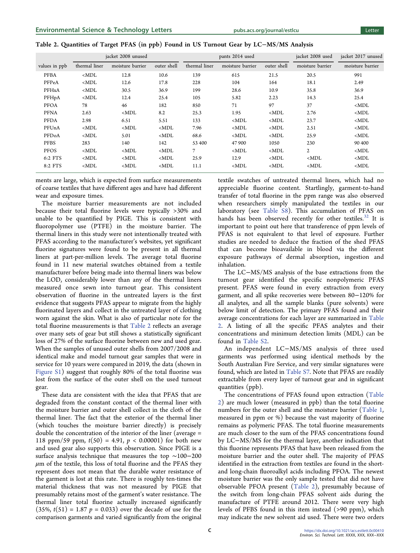| Table 2. Quantities of Target PFAS (in ppb) Found in US Turnout Gear by LC–MS/MS Analysis |  |  |  |
|-------------------------------------------------------------------------------------------|--|--|--|
|-------------------------------------------------------------------------------------------|--|--|--|

|               | jacket 2008 unused |                  |             | pants 2014 used |                  |             | jacket 2008 used | jacket 2017 unused |
|---------------|--------------------|------------------|-------------|-----------------|------------------|-------------|------------------|--------------------|
| values in ppb | thermal liner      | moisture barrier | outer shell | thermal liner   | moisture barrier | outer shell | moisture barrier | moisture barrier   |
| <b>PFBA</b>   | $<$ MDL            | 12.8             | 10.6        | 139             | 615              | 21.5        | 20.5             | 991                |
| PFPeA         | $<$ MDL            | 12.6             | 17.8        | 228             | 104              | 164         | 18.1             | 2.49               |
| PFHxA         | $<$ MDL            | 30.5             | 36.9        | 199             | 28.6             | 10.9        | 35.8             | 36.9               |
| PFHpA         | $<$ MDL            | 12.4             | 25.4        | 105             | 5.82             | 2.23        | 14.3             | 25.4               |
| <b>PFOA</b>   | 78                 | 46               | 182         | 850             | 71               | 97          | 37               | $MDL$              |
| <b>PFNA</b>   | 2.63               | $<$ MDL          | 8.2         | 25.3            | 1.95             | $<$ MDL     | 2.76             | $<$ MDL            |
| PFDA          | 2.98               | 6.51             | 5.51        | 133             | $MDL$            | $MDL$       | 23.7             | $MDL$              |
| PFUnA         | $<$ MDL            | $<$ MDL          | $<$ MDL     | 7.96            | $<$ MDL          | $<$ MDL     | 2.51             | $<$ MDL            |
| PFDoA         | $<$ MDL            | 5.01             | $<$ MDL     | 68.6            | $<$ MDL          | $<$ MDL     | 25.9             | $MDL$              |
| PFBS          | 283                | 140              | 142         | 53 400          | 47 900           | 1050        | 230              | 90 400             |
| PFOS          | $<$ MDL            | $<$ MDL          | $<$ MDL     | 7               | $<$ MDL          | $<$ MDL     | $\overline{2}$   | $MDL$              |
| 6:2 FTS       | $<$ MDL            | $<$ MDL          | $<$ MDL     | 25.9            | 12.9             | $<$ MDL     | $MDL$            | $MDL$              |
| 8:2 FTS       | $<$ MDL            | $<$ MDL          | $<$ MDL     | 11.1            | $<$ MDL          | $<$ MDL     | $MDL$            | $<$ MDL            |

ments are large, which is expected from surface measurements of coarse textiles that have different ages and have had different wear and exposure times.

The moisture barrier measurements are not included because their total fluorine levels were typically >30% and unable to be quantified by PIGE. This is consistent with fluoropolymer use (PTFE) in the moisture barrier. The thermal liners in this study were not intentionally treated with PFAS according to the manufacturer's websites, yet significant fluorine signatures were found to be present in all thermal liners at part-per-million levels. The average total fluorine found in 11 new material swatches obtained from a textile manufacturer before being made into thermal liners was below the LOD, considerably lower than any of the thermal liners measured once sewn into turnout gear. This consistent observation of fluorine in the untreated layers is the first evidence that suggests PFAS appear to migrate from the highly fluorinated layers and collect in the untreated layer of clothing worn against the skin. What is also of particular note for the total fluorine measurements is that Table 2 reflects an average over many sets of gear but still shows a statistically significant loss of 27% of the surface fluorine between new and used gear. When the samples of unused outer shells from 2007/2008 and identical make and model turnout gear samples that were in service for 10 years were compared in 2019, the data (shown in [Figure S1\)](http://pubs.acs.org/doi/suppl/10.1021/acs.estlett.0c00410/suppl_file/ez0c00410_si_001.pdf) suggest that roughly 80% of the total fluorine was lost from the surface of the outer shell on the used turnout gear.

These data are consistent with the idea that PFAS that are degraded from the constant contact of the thermal liner with the moisture barrier and outer shell collect in the cloth of the thermal liner. The fact that the exterior of the thermal liner (which touches the moisture barrier directly) is precisely double the concentration of the interior of the liner (average = 118 ppm/59 ppm,  $t(50) = 4.91$ ,  $p < 0.00001$ ) for both new and used gear also supports this observation. Since PIGE is a surface analysis technique that measures the top ∼100−200  $\mu$ m of the textile, this loss of total fluorine and the PFAS they represent does not mean that the durable water resistance of the garment is lost at this rate. There is roughly ten-times the material thickness that was not measured by PIGE that presumably retains most of the garment's water resistance. The thermal liner total fluorine actually increased significantly  $(35\%, t(51) = 1.87 \, p = 0.033)$  over the decade of use for the comparison garments and varied significantly from the original

textile swatches of untreated thermal liners, which had no appreciable fluorine content. Startlingly, garment-to-hand transfer of total fluorine in the ppm range was also observed when researchers simply manipulated the textiles in our laboratory (see [Table S8\)](http://pubs.acs.org/doi/suppl/10.1021/acs.estlett.0c00410/suppl_file/ez0c00410_si_001.pdf). This accumulation of PFAS on hands has been observed recently for other textiles. $32$  It is important to point out here that transference of ppm levels of PFAS is not equivalent to that level of exposure. Further studies are needed to deduce the fraction of the shed PFAS that can become bioavailable in blood via the different exposure pathways of dermal absorption, ingestion and inhalation.

The LC−MS/MS analysis of the base extractions from the turnout gear identified the specific nonpolymeric PFAS present. PFAS were found in every extraction from every garment, and all spike recoveries were between 80−120% for all analytes, and all the sample blanks (pure solvents) were below limit of detection. The primary PFAS found and their average concentrations for each layer are summarized in Table 2. A listing of all the specific PFAS analytes and their concentrations and minimum detection limits (MDL) can be found in [Table S2.](http://pubs.acs.org/doi/suppl/10.1021/acs.estlett.0c00410/suppl_file/ez0c00410_si_001.pdf)

An independent LC−MS/MS analysis of three used garments was performed using identical methods by the South Australian Fire Service, and very similar signatures were found, which are listed in [Table S7](http://pubs.acs.org/doi/suppl/10.1021/acs.estlett.0c00410/suppl_file/ez0c00410_si_001.pdf). Note that PFAS are readily extractable from every layer of turnout gear and in significant quantities (ppb).

The concentrations of PFAS found upon extraction (Table 2) are much lower (measured in ppb) than the total fluorine numbers for the outer shell and the moisture barrier ([Table 1](#page-1-0), measured in ppm or %) because the vast majority of fluorine remains as polymeric PFAS. The total fluorine measurements are much closer to the sum of the PFAS concentrations found by LC−MS/MS for the thermal layer, another indication that this fluorine represents PFAS that have been released from the moisture barrier and the outer shell. The majority of PFAS identified in the extraction from textiles are found in the shortand long-chain fluoroalkyl acids including PFOA. The newest moisture barrier was the only sample tested that did not have observable PFOA present (Table 2), presumably because of the switch from long-chain PFAS solvent aids during the manufacture of PTFE around 2012. There were very high levels of PFBS found in this item instead (>90 ppm), which may indicate the new solvent aid used. There were two orders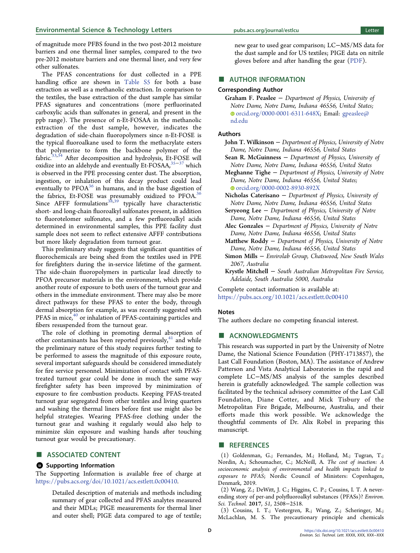<span id="page-3-0"></span>of magnitude more PFBS found in the two post-2012 moisture barriers and one thermal liner samples, compared to the two pre-2012 moisture barriers and one thermal liner, and very few other sulfonates.

The PFAS concentrations for dust collected in a PPE handling office are shown in [Table S5](http://pubs.acs.org/doi/suppl/10.1021/acs.estlett.0c00410/suppl_file/ez0c00410_si_001.pdf) for both a base extraction as well as a methanolic extraction. In comparison to the textiles, the base extraction of the dust sample has similar PFAS signatures and concentrations (more perfluorinated carboxylic acids than sulfonates in general, and present in the ppb range). The presence of n-Et-FOSAA in the methanolic extraction of the dust sample, however, indicates the degradation of side-chain fluoropolymers since n-Et-FOSE is the typical fluoroalkane used to form the methacrylate esters that polymerize to form the backbone polymer of the fabric.<sup>[33,34](#page-4-0)</sup> After decomposition and hydrolysis, Et-FOSE will oxidize into an aldehyde and eventually Et-FOSAA,[35](#page-4-0)−[37](#page-5-0) which is observed in the PPE processing center dust. The absorption, ingestion, or inhalation of this decay product could lead eventually to PFOA<sup>[36](#page-4-0)</sup> in humans, and in the base digestion of the fabrics, Et-FOSE was presumably oxidized to PFOA.<sup>[36](#page-4-0)</sup> Since AFFF formulations<sup>[38](#page-5-0),[39](#page-5-0)</sup> typically have characteristic short- and long-chain fluoroalkyl sulfonates present, in addition to fluorotelomer sulfonates, and a few perfluoroalkyl acids determined in environmental samples, this PPE facility dust sample does not seem to reflect extensive AFFF contributions but more likely degradation from turnout gear.

This preliminary study suggests that significant quantities of fluorochemicals are being shed from the textiles used in PPE for firefighters during the in-service lifetime of the garment. The side-chain fluoropolymers in particular lead directly to PFOA precursor materials in the environment, which provide another route of exposure to both users of the turnout gear and others in the immediate environment. There may also be more direct pathways for these PFAS to enter the body, through dermal absorption for example, as was recently suggested with PFAS in mice,<sup>[40](#page-5-0)</sup> or inhalation of PFAS-containing particles and fibers resuspended from the turnout gear.

The role of clothing in promoting dermal absorption of other contaminants has been reported previously, $4\overline{1}$  and while the preliminary nature of this study requires further testing to be performed to assess the magnitude of this exposure route, several important safeguards should be considered immediately for fire service personnel. Minimization of contact with PFAStreated turnout gear could be done in much the same way firefighter safety has been improved by minimization of exposure to fire combustion products. Keeping PFAS-treated turnout gear segregated from other textiles and living quarters and washing the thermal liners before first use might also be helpful strategies. Wearing PFAS-free clothing under the turnout gear and washing it regularly would also help to minimize skin exposure and washing hands after touching turnout gear would be precautionary.

## ■ ASSOCIATED CONTENT

#### **9** Supporting Information

The Supporting Information is available free of charge at [https://pubs.acs.org/doi/10.1021/acs.estlett.0c00410.](https://pubs.acs.org/doi/10.1021/acs.estlett.0c00410?goto=supporting-info)

> Detailed description of materials and methods including summary of gear collected and PFAS analytes measured and their MDLs; PIGE measurements for thermal liner and outer shell; PIGE data compared to age of textile;

new gear to used gear comparison; LC−MS/MS data for the dust sample and for US textiles; PIGE data on nitrile gloves before and after handling the gear ([PDF](http://pubs.acs.org/doi/suppl/10.1021/acs.estlett.0c00410/suppl_file/ez0c00410_si_001.pdf)).

## **EXECUTE AUTHOR INFORMATION**

#### Corresponding Author

Graham F. Peaslee − Department of Physics, University of Notre Dame, Notre Dame, Indiana 46556, United States; [orcid.org/0000-0001-6311-648X;](http://orcid.org/0000-0001-6311-648X) Email: [gpeaslee@](mailto:gpeaslee@nd.edu) [nd.edu](mailto:gpeaslee@nd.edu)

#### Authors

John T. Wilkinson − Department of Physics, University of Notre Dame, Notre Dame, Indiana 46556, United States

Sean R. McGuinness − Department of Physics, University of Notre Dame, Notre Dame, Indiana 46556, United States

Meghanne Tighe − Department of Physics, University of Notre Dame, Notre Dame, Indiana 46556, United States; [orcid.org/0000-0002-8930-892X](http://orcid.org/0000-0002-8930-892X)

- Nicholas Caterisano − Department of Physics, University of Notre Dame, Notre Dame, Indiana 46556, United States
- Seryeong Lee − Department of Physics, University of Notre Dame, Notre Dame, Indiana 46556, United States
- Alec Gonzales − Department of Physics, University of Notre Dame, Notre Dame, Indiana 46556, United States
- Matthew Roddy − Department of Physics, University of Notre Dame, Notre Dame, Indiana 46556, United States
- Simon Mills − Envirolab Group, Chatswood, New South Wales 2067, Australia
- Krystle Mitchell − South Australian Metropolitan Fire Service, Adelaide, South Australia 5000, Australia

Complete contact information is available at: [https://pubs.acs.org/10.1021/acs.estlett.0c00410](https://pubs.acs.org/doi/10.1021/acs.estlett.0c00410?ref=pdf)

#### Notes

The authors declare no competing financial interest.

## ■ ACKNOWLEDGMENTS

This research was supported in part by the University of Notre Dame, the National Science Foundation (PHY-1713857), the Last Call Foundation (Boston, MA). The assistance of Andrew Patterson and Vista Analytical Laboratories in the rapid and complete LC−MS/MS analysis of the samples described herein is gratefully acknowledged. The sample collection was facilitated by the technical advisory committee of the Last Call Foundation, Diane Cotter, and Mick Tisbury of the Metropolitan Fire Brigade, Melbourne, Australia, and their efforts made this work possible. We acknowledge the thoughtful comments of Dr. Alix Robel in preparing this manuscript.

#### ■ REFERENCES

(1) Goldenman, G.; Fernandes, M.; Holland, M.; Tugran, T.; Nordin, A.; Schoumacher, C.; McNeill, A. The cost of inaction: A socioeconomic analysis of environmental and health impacts linked to exposure to PFAS; Nordic Council of Ministers: Copenhagen, Denmark, 2019.

(2) Wang, Z.; DeWitt, J. C.; Higgins, C. P.; Cousins, I. T[. A never](https://dx.doi.org/10.1021/acs.est.6b04806)[ending story of per-and polyfluoroalkyl substances \(PFASs\)?](https://dx.doi.org/10.1021/acs.est.6b04806) Environ. Sci. Technol. 2017, 51, 2508−2518.

(3) Cousins, I. T.; Vestergren, R.; Wang, Z.; Scheringer, M.; McLachlan, M. S. [The precautionary principle and chemicals](https://dx.doi.org/10.1016/j.envint.2016.04.044)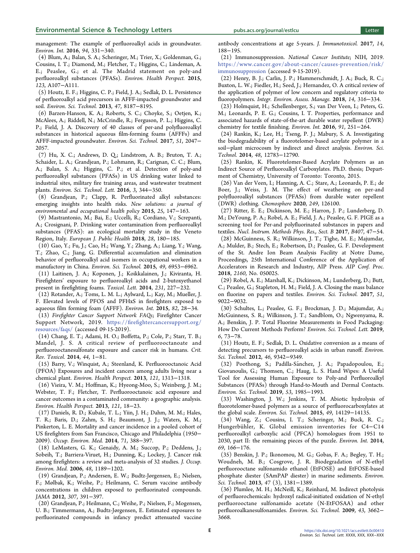<span id="page-4-0"></span>[management: The example of perfluoroalkyl acids in groundwater.](https://dx.doi.org/10.1016/j.envint.2016.04.044) Environ. Int. 2016, 94, 331−340.

(4) Blum, A.; Balan, S. A.; Scheringer, M.; Trier, X.; Goldenman, G.; Cousins, I. T.; Diamond, M.; Fletcher, T.; Higgins, C.; Lindeman, A. E.; Peaslee, G.; et al. [The Madrid statement on poly-and](https://dx.doi.org/10.1289/ehp.1509934) [perfluoroalkyl substances \(PFASs\).](https://dx.doi.org/10.1289/ehp.1509934) Environ. Health Perspect. 2015, 123, A107−A111.

(5) Houtz, E. F.; Higgins, C. P.; Field, J. A.; Sedlak, D. L[. Persistence](https://dx.doi.org/10.1021/es4018877) [of perfluoroalkyl acid precursors in AFFF-impacted groundwater and](https://dx.doi.org/10.1021/es4018877) [soil.](https://dx.doi.org/10.1021/es4018877) Environ. Sci. Technol. 2013, 47, 8187−8195.

(6) Barzen-Hanson, K. A.; Roberts, S. C.; Choyke, S.; Oetjen, K.; McAlees, A.; Riddell, N.; McCrindle, R.; Ferguson, P. L.; Higgins, C. P.; Field, J. A. [Discovery of 40 classes of per-and polyfluoroalkyl](https://dx.doi.org/10.1021/acs.est.6b05843) [substances in historical aqueous film-forming foams \(AFFFs\) and](https://dx.doi.org/10.1021/acs.est.6b05843) [AFFF-impacted groundwater.](https://dx.doi.org/10.1021/acs.est.6b05843) Environ. Sci. Technol. 2017, 51, 2047− 2057.

(7) Hu, X. C.; Andrews, D. Q.; Lindstrom, A. B.; Bruton, T. A.; Schaider, L. A.; Grandjean, P.; Lohmann, R.; Carignan, C. C.; Blum, A.; Balan, S. A.; Higgins, C. P.; et al. [Detection of poly-and](https://dx.doi.org/10.1021/acs.estlett.6b00260) [perfluoroalkyl substances \(PFASs\) in US drinking water linked to](https://dx.doi.org/10.1021/acs.estlett.6b00260) [industrial sites, military fire training areas, and wastewater treatment](https://dx.doi.org/10.1021/acs.estlett.6b00260) [plants.](https://dx.doi.org/10.1021/acs.estlett.6b00260) Environ. Sci. Technol. Lett. 2016, 3, 344−350.

(8) Grandjean, P.; Clapp, R. [Perfluorinated alkyl substances:](https://dx.doi.org/10.1177/1048291115590506) [emerging insights into health risks.](https://dx.doi.org/10.1177/1048291115590506) New solutions: a journal of environmental and occupational health policy 2015, 25, 147−163.

(9) Mastrantonio, M.; Bai, E.; Uccelli, R.; Cordiano, V.; Screpanti, A.; Crosignani, P[. Drinking water contamination from perfluoroalkyl](https://dx.doi.org/10.1093/eurpub/ckx066) [substances \(PFAS\): an ecological mortality study in the Veneto](https://dx.doi.org/10.1093/eurpub/ckx066) [Region, Italy.](https://dx.doi.org/10.1093/eurpub/ckx066) European J. Public Health 2018, 28, 180−185.

(10) Gao, Y.; Fu, J.; Cao, H.; Wang, Y.; Zhang, A.; Liang, Y.; Wang, T.; Zhao, C.; Jiang, G[. Differential accumulation and elimination](https://dx.doi.org/10.1021/acs.est.5b00778) [behavior of perfluoroalkyl acid isomers in occupational workers in a](https://dx.doi.org/10.1021/acs.est.5b00778) [manufactory in China.](https://dx.doi.org/10.1021/acs.est.5b00778) Environ. Sci. Technol. 2015, 49, 6953−6962.

(11) Laitinen, J. A.; Koponen, J.; Koikkalainen, J.; Kiviranta, H. Firefighters' [exposure to perfluoroalkyl acids and 2-butoxyethanol](https://dx.doi.org/10.1016/j.toxlet.2014.09.007) [present in firefighting foams.](https://dx.doi.org/10.1016/j.toxlet.2014.09.007) Toxicol. Lett. 2014, 231, 227−232.

(12) Rotander, A.; Toms, L. M. L.; Aylward, L.; Kay, M.; Mueller, J. F[. Elevated levels of PFOS and PFHxS in firefighters exposed to](https://dx.doi.org/10.1016/j.envint.2015.05.005) [aqueous film forming foam \(AFFF\).](https://dx.doi.org/10.1016/j.envint.2015.05.005) Environ. Int. 2015, 82, 28−34.

(13) Firefighter Cancer Support Network FAQs; Firefighter Cancer Support Network, 2019. https://firefi[ghtercancersupport.org/](https://firefightercancersupport.org/resources/faqs/) [resources/faqs/](https://firefightercancersupport.org/resources/faqs/) (accessed 09-15-2019).

(14) Chang, E. T.; Adami, H. O.; Boffetta, P.; Cole, P.; Starr, T. B.; Mandel, J. S. [A critical review of perfluorooctanoate and](https://dx.doi.org/10.3109/10408444.2014.905767) [perfluorooctanesulfonate exposure and cancer risk in humans.](https://dx.doi.org/10.3109/10408444.2014.905767) Crit. Rev. Toxicol. 2014, 44, 1−81.

(15) Barry, V.; Winquist, A.; Steenland, K. [Perfluorooctanoic Acid](https://dx.doi.org/10.1289/ehp.1306615) [\(PFOA\) Exposures and incident cancers among adults living near a](https://dx.doi.org/10.1289/ehp.1306615) [chemical plant.](https://dx.doi.org/10.1289/ehp.1306615) Environ. Health Perspect. 2013, 121, 1313−1318.

(16) Vieira, V. M.; Hoffman, K.; Hyeong-Moo, S.; Weinberg, J. M.; Webster, T. F.; Fletcher, T. [Perfluorooctanoic acid exposure and](https://dx.doi.org/10.1289/ehp.1205829) [cancer outcomes in a contaminated community: a geographic analysis.](https://dx.doi.org/10.1289/ehp.1205829) Environ. Health Perspect. 2013, 121, 18−23.

(17) Daniels, R. D.; Kubale, T. L.; Yiin, J. H.; Dahm, M. M.; Hales, T. R.; Baris, D.; Zahm, S. H.; Beaumont, J. J.; Waters, K. M.; Pinkerton, L. E. [Mortality and cancer incidence in a pooled cohort of](https://dx.doi.org/10.1136/oemed-2013-101662) [US firefighters from San Francisco, Chicago and Philadelphia \(1950](https://dx.doi.org/10.1136/oemed-2013-101662)− [2009\).](https://dx.doi.org/10.1136/oemed-2013-101662) Occup. Environ. Med. 2014, 71, 388−397.

(18) LeMasters, G. K.; Genaidy, A. M.; Succop, P.; Deddens, J.; Sobeih, T.; Barriera-Viruet, H.; Dunning, K.; Lockey, J[. Cancer risk](https://dx.doi.org/10.1097/01.jom.0000246229.68697.90) [among firefighters: a review and meta-analysis of 32 studies.](https://dx.doi.org/10.1097/01.jom.0000246229.68697.90) J. Occup. Environ. Med. 2006, 48, 1189−1202.

(19) Grandjean, P.; Andersen, E. W.; Budtz-Jørgensen, E.; Nielsen, F.; Mølbak, K.; Weihe, P.; Heilmann, C[. Serum vaccine antibody](https://dx.doi.org/10.1001/jama.2011.2034) [concentrations in children exposed to perfluorinated compounds.](https://dx.doi.org/10.1001/jama.2011.2034) JAMA 2012, 307, 391−397.

(20) Grandjean, P.; Heilmann, C.; Weihe, P.; Nielsen, F.; Mogensen, U. B.; Timmermann, A.; Budtz-Jørgensen, E[. Estimated exposures to](https://dx.doi.org/10.1080/1547691X.2017.1360968) [perfluorinated compounds in infancy predict attenuated vaccine](https://dx.doi.org/10.1080/1547691X.2017.1360968)

[antibody concentrations at age 5-years.](https://dx.doi.org/10.1080/1547691X.2017.1360968) J. Immunotoxicol. 2017, 14, 188−195.

(21) Immunosuppression. National Cancer Institute; NIH, 2019. [https://www.cancer.gov/about-cancer/causes-prevention/risk/](https://www.cancer.gov/about-cancer/causes-prevention/risk/immunosuppression) [immunosuppression](https://www.cancer.gov/about-cancer/causes-prevention/risk/immunosuppression) (accessed 9-15-2019).

(22) Henry, B. J.; Carlin, J. P.; Hammerschmidt, J. A.; Buck, R. C.; Buxton, L. W.; Fiedler, H.; Seed, J.; Hernandez, O[. A critical review of](https://dx.doi.org/10.1002/ieam.4035) [the application of polymer of low concern and regulatory criteria to](https://dx.doi.org/10.1002/ieam.4035) [fluoropolymers.](https://dx.doi.org/10.1002/ieam.4035) Integr. Environ. Assess. Manage. 2018, 14, 316−334.

(23) Holmquist, H.; Schellenberger, S.; van Der Veen, I.; Peters, G. M.; Leonards, P. E. G.; Cousins, I. T[. Properties, performance and](https://dx.doi.org/10.1016/j.envint.2016.02.035) [associated hazards of state-of-the-art durable water repellent \(DWR\)](https://dx.doi.org/10.1016/j.envint.2016.02.035) [chemistry for textile finishing.](https://dx.doi.org/10.1016/j.envint.2016.02.035) Environ. Int. 2016, 91, 251−264.

(24) Rankin, K.; Lee, H.; Tseng, P. J.; Mabury, S. A. [Investigating](https://dx.doi.org/10.1021/es502986w) [the biodegradability of a fluorotelomer-based acrylate polymer in a](https://dx.doi.org/10.1021/es502986w) soil−[plant microcosm by indirect and direct analysis.](https://dx.doi.org/10.1021/es502986w) Environ. Sci. Technol. 2014, 48, 12783−12790.

(25) Rankin, K. Fluorotelomer-Based Acrylate Polymers as an Indirect Source of Perfluoroalkyl Carboxylates. Ph.D. thesis; Department of Chemistry, University of Toronto: Toronto, 2015.

(26) Van der Veen, I.; Hanning, A. C.; Stare, A.; Leonards, P. E.; de Boer, J.; Weiss, J. M[. The effect of weathering on per-and](https://dx.doi.org/10.1016/j.chemosphere.2020.126100) [polyfluoroalkyl substances \(PFASs\) from durable water repellent](https://dx.doi.org/10.1016/j.chemosphere.2020.126100) [\(DWR\) clothing.](https://dx.doi.org/10.1016/j.chemosphere.2020.126100) Chemosphere 2020, 249, 126100.

(27) Ritter, E. E.; Dickinson, M. E.; Harron, J. P.; Lunderberg, D. M.; DeYoung, P. A.; Robel, A. E.; Field, J. A.; Peaslee, G. F[. PIGE as a](https://dx.doi.org/10.1016/j.nimb.2017.05.052) [screening tool for Per-and polyfluorinated substances in papers and](https://dx.doi.org/10.1016/j.nimb.2017.05.052) [textiles.](https://dx.doi.org/10.1016/j.nimb.2017.05.052) Nucl. Instrum. Methods Phys. Res., Sect. B 2017, B407, 47−54.

(28) McGuinness, S. R.; Wilkinson, J. T.; Tighe, M. E.; Majumdar, A.; Mulder, B.; Stech, E.; Robertson, D.; Peaslee, G. F[. Development](https://dx.doi.org/10.1063/1.5127717) [of the St. Andre Ion Beam Analysis Facility at Notre Dame,](https://dx.doi.org/10.1063/1.5127717) [Proceedings, 25th International Conference of the Application of](https://dx.doi.org/10.1063/1.5127717) [Accelerators in Research and Industry, AIP Press.](https://dx.doi.org/10.1063/1.5127717) AIP Conf. Proc. 2018, 2160, No. 050025.

(29) Robel, A. E.; Marshall, K.; Dickinson, M.; Lunderberg, D.; Butt, C.; Peaslee, G.; Stapleton, H. M.; Field, J. A[. Closing the mass balance](https://dx.doi.org/10.1021/acs.est.7b02080) [on fluorine on papers and textiles.](https://dx.doi.org/10.1021/acs.est.7b02080) Environ. Sci. Technol. 2017, 51, 9022−9032.

(30) Schultes, L.; Peaslee, G. F.; Brockman, J. D.; Majumdar, A.; McGuinness, S. R.; Wilkinson, J. T.; Sandblom, O.; Ngwenyama, R. A.; Benskin, J. P. [Total Fluorine Measurements in Food Packaging:](https://dx.doi.org/10.1021/acs.estlett.8b00700) [How Do Current Methods Perform?](https://dx.doi.org/10.1021/acs.estlett.8b00700) Environ. Sci. Technol. Lett. 2019, 6, 73−78.

(31) Houtz, E. F.; Sedlak, D. L[. Oxidative conversion as a means of](https://dx.doi.org/10.1021/es302274g) [detecting precursors to perfluoroalkyl acids in urban runoff.](https://dx.doi.org/10.1021/es302274g) Environ. Sci. Technol. 2012, 46, 9342−9349.

(32) Poothong, S.; Padilla-Sánchez, J. A.; Papadopoulou, E.; Giovanoulis, G.; Thomsen, C.; Haug, L. S. [Hand Wipes: A Useful](https://dx.doi.org/10.1021/acs.est.8b05303) [Tool for Assessing Human Exposure to Poly-and Perfluoroalkyl](https://dx.doi.org/10.1021/acs.est.8b05303) [Substances \(PFASs\) through Hand-to-Mouth and Dermal Contacts.](https://dx.doi.org/10.1021/acs.est.8b05303) Environ. Sci. Technol. 2019, 53, 1985−1993.

(33) Washington, J. W.; Jenkins, T. M. [Abiotic hydrolysis of](https://dx.doi.org/10.1021/acs.est.5b03686) [fluorotelomer-based polymers as a source of perfluorocarboxylates at](https://dx.doi.org/10.1021/acs.est.5b03686) [the global scale.](https://dx.doi.org/10.1021/acs.est.5b03686) Environ. Sci. Technol. 2015, 49, 14129−14135.

(34) Wang, Z.; Cousins, I. T.; Scheringer, M.; Buck, R. C.; Hungerbühler, K. [Global emission inventories for C4](https://dx.doi.org/10.1016/j.envint.2014.04.006)−C14 [perfluoroalkyl carboxylic acid \(PFCA\) homologues from 1951 to](https://dx.doi.org/10.1016/j.envint.2014.04.006) [2030, part II: the remaining pieces of the puzzle.](https://dx.doi.org/10.1016/j.envint.2014.04.006) Environ. Int. 2014, 69, 166−176.

(35) Benskin, J. P.; Ikonomou, M. G.; Gobas, F. A.; Begley, T. H.; Woudneh, M. B.; Cosgrove, J. R. [Biodegradation of N-ethyl](https://dx.doi.org/10.1021/es304336r) [perfluorooctane sulfonamido ethanol \(EtFOSE\) and EtFOSE-based](https://dx.doi.org/10.1021/es304336r) [phosphate diester \(SAmPAP diester\) in marine sediments.](https://dx.doi.org/10.1021/es304336r) Environ. Sci. Technol. 2013, 47 (3), 1381−1389.

(36) Plumlee, M. H.; McNeill, K.; Reinhard, M[. Indirect photolysis](https://dx.doi.org/10.1021/es803411w) [of perfluorochemicals: hydroxyl radical-initiated oxidation of N-ethyl](https://dx.doi.org/10.1021/es803411w) perfluorooctane sulfonamido [acetate \(N-EtFOSAA\) and other](https://dx.doi.org/10.1021/es803411w) [perfluoroalkanesulfonamides.](https://dx.doi.org/10.1021/es803411w) Environ. Sci. Technol. 2009, 43, 3662− 3668.